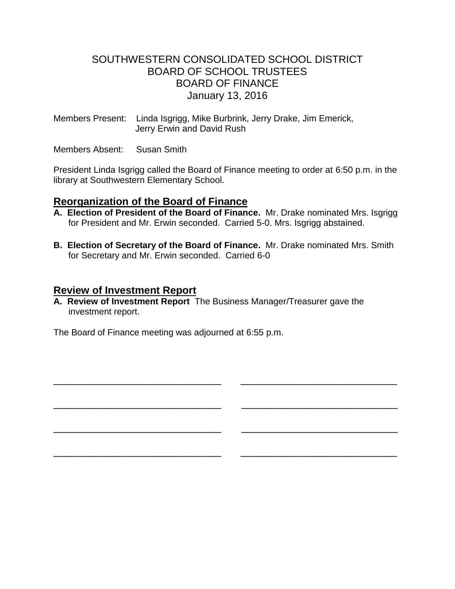# SOUTHWESTERN CONSOLIDATED SCHOOL DISTRICT BOARD OF SCHOOL TRUSTEES BOARD OF FINANCE January 13, 2016

Members Present: Linda Isgrigg, Mike Burbrink, Jerry Drake, Jim Emerick, Jerry Erwin and David Rush

Members Absent: Susan Smith

President Linda Isgrigg called the Board of Finance meeting to order at 6:50 p.m. in the library at Southwestern Elementary School.

# **Reorganization of the Board of Finance**

- **A. Election of President of the Board of Finance.** Mr. Drake nominated Mrs. Isgrigg for President and Mr. Erwin seconded. Carried 5-0. Mrs. Isgrigg abstained.
- **B. Election of Secretary of the Board of Finance.** Mr. Drake nominated Mrs. Smith for Secretary and Mr. Erwin seconded. Carried 6-0

\_\_\_\_\_\_\_\_\_\_\_\_\_\_\_\_\_\_\_\_\_\_\_\_\_\_\_\_\_ \_\_\_\_\_\_\_\_\_\_\_\_\_\_\_\_\_\_\_\_\_\_\_\_\_\_\_

\_\_\_\_\_\_\_\_\_\_\_\_\_\_\_\_\_\_\_\_\_\_\_\_\_\_\_\_\_ \_\_\_\_\_\_\_\_\_\_\_\_\_\_\_\_\_\_\_\_\_\_\_\_\_\_\_

\_\_\_\_\_\_\_\_\_\_\_\_\_\_\_\_\_\_\_\_\_\_\_\_\_\_\_\_\_ \_\_\_\_\_\_\_\_\_\_\_\_\_\_\_\_\_\_\_\_\_\_\_\_\_\_\_

\_\_\_\_\_\_\_\_\_\_\_\_\_\_\_\_\_\_\_\_\_\_\_\_\_\_\_\_\_ \_\_\_\_\_\_\_\_\_\_\_\_\_\_\_\_\_\_\_\_\_\_\_\_\_\_\_

# **Review of Investment Report**

**A. Review of Investment Report** The Business Manager/Treasurer gave the investment report.

The Board of Finance meeting was adjourned at 6:55 p.m.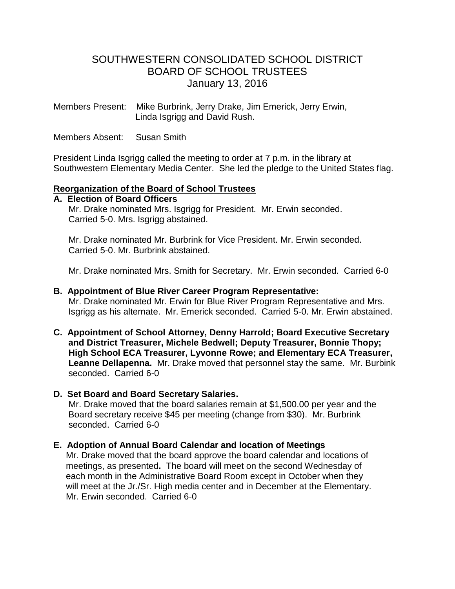# SOUTHWESTERN CONSOLIDATED SCHOOL DISTRICT BOARD OF SCHOOL TRUSTEES January 13, 2016

Members Present: Mike Burbrink, Jerry Drake, Jim Emerick, Jerry Erwin, Linda Isgrigg and David Rush.

Members Absent: Susan Smith

President Linda Isgrigg called the meeting to order at 7 p.m. in the library at Southwestern Elementary Media Center. She led the pledge to the United States flag.

#### **Reorganization of the Board of School Trustees**

## **A. Election of Board Officers**

Mr. Drake nominated Mrs. Isgrigg for President. Mr. Erwin seconded. Carried 5-0. Mrs. Isgrigg abstained.

 Mr. Drake nominated Mr. Burbrink for Vice President. Mr. Erwin seconded. Carried 5-0. Mr. Burbrink abstained.

Mr. Drake nominated Mrs. Smith for Secretary. Mr. Erwin seconded. Carried 6-0

#### **B. Appointment of Blue River Career Program Representative:**

Mr. Drake nominated Mr. Erwin for Blue River Program Representative and Mrs. Isgrigg as his alternate. Mr. Emerick seconded. Carried 5-0. Mr. Erwin abstained.

- **C. Appointment of School Attorney, Denny Harrold; Board Executive Secretary and District Treasurer, Michele Bedwell; Deputy Treasurer, Bonnie Thopy; High School ECA Treasurer, Lyvonne Rowe; and Elementary ECA Treasurer, Leanne Dellapenna.** Mr. Drake moved that personnel stay the same. Mr. Burbink seconded. Carried 6-0
- **D. Set Board and Board Secretary Salaries.**

Mr. Drake moved that the board salaries remain at \$1,500.00 per year and the Board secretary receive \$45 per meeting (change from \$30). Mr. Burbrink seconded. Carried 6-0

## **E. Adoption of Annual Board Calendar and location of Meetings**

Mr. Drake moved that the board approve the board calendar and locations of meetings, as presented**.** The board will meet on the second Wednesday of each month in the Administrative Board Room except in October when they will meet at the Jr./Sr. High media center and in December at the Elementary. Mr. Erwin seconded. Carried 6-0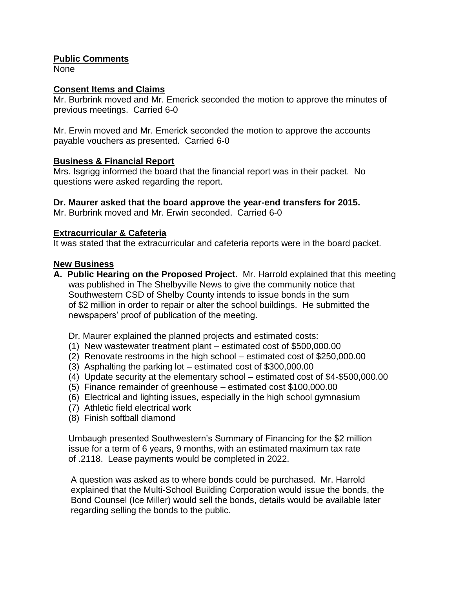## **Public Comments**

None

## **Consent Items and Claims**

Mr. Burbrink moved and Mr. Emerick seconded the motion to approve the minutes of previous meetings. Carried 6-0

Mr. Erwin moved and Mr. Emerick seconded the motion to approve the accounts payable vouchers as presented. Carried 6-0

## **Business & Financial Report**

Mrs. Isgrigg informed the board that the financial report was in their packet. No questions were asked regarding the report.

#### **Dr. Maurer asked that the board approve the year-end transfers for 2015.**

Mr. Burbrink moved and Mr. Erwin seconded. Carried 6-0

#### **Extracurricular & Cafeteria**

It was stated that the extracurricular and cafeteria reports were in the board packet.

#### **New Business**

- **A. Public Hearing on the Proposed Project.** Mr. Harrold explained that this meeting was published in The Shelbyville News to give the community notice that Southwestern CSD of Shelby County intends to issue bonds in the sum of \$2 million in order to repair or alter the school buildings. He submitted the newspapers' proof of publication of the meeting.
	- Dr. Maurer explained the planned projects and estimated costs:
	- (1) New wastewater treatment plant estimated cost of \$500,000.00
	- (2) Renovate restrooms in the high school estimated cost of \$250,000.00
	- (3) Asphalting the parking lot estimated cost of \$300,000.00
	- (4) Update security at the elementary school estimated cost of \$4-\$500,000.00
	- (5) Finance remainder of greenhouse estimated cost \$100,000.00
	- (6) Electrical and lighting issues, especially in the high school gymnasium
	- (7) Athletic field electrical work
	- (8) Finish softball diamond

 Umbaugh presented Southwestern's Summary of Financing for the \$2 million issue for a term of 6 years, 9 months, with an estimated maximum tax rate of .2118. Lease payments would be completed in 2022.

 A question was asked as to where bonds could be purchased. Mr. Harrold explained that the Multi-School Building Corporation would issue the bonds, the Bond Counsel (Ice Miller) would sell the bonds, details would be available later regarding selling the bonds to the public.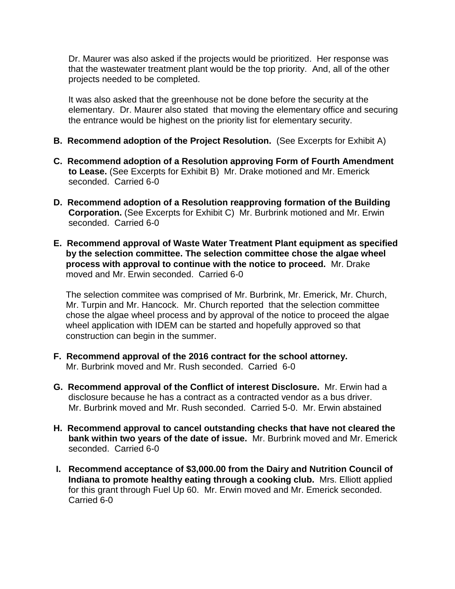Dr. Maurer was also asked if the projects would be prioritized. Her response was that the wastewater treatment plant would be the top priority. And, all of the other projects needed to be completed.

 It was also asked that the greenhouse not be done before the security at the elementary. Dr. Maurer also stated that moving the elementary office and securing the entrance would be highest on the priority list for elementary security.

- **B. Recommend adoption of the Project Resolution.** (See Excerpts for Exhibit A)
- **C. Recommend adoption of a Resolution approving Form of Fourth Amendment to Lease.** (See Excerpts for Exhibit B) Mr. Drake motioned and Mr. Emerick seconded. Carried 6-0
- **D. Recommend adoption of a Resolution reapproving formation of the Building Corporation.** (See Excerpts for Exhibit C) Mr. Burbrink motioned and Mr. Erwin seconded. Carried 6-0
- **E. Recommend approval of Waste Water Treatment Plant equipment as specified by the selection committee. The selection committee chose the algae wheel process with approval to continue with the notice to proceed.** Mr. Drake moved and Mr. Erwin seconded. Carried 6-0

 The selection commitee was comprised of Mr. Burbrink, Mr. Emerick, Mr. Church, Mr. Turpin and Mr. Hancock. Mr. Church reported that the selection committee chose the algae wheel process and by approval of the notice to proceed the algae wheel application with IDEM can be started and hopefully approved so that construction can begin in the summer.

- **F. Recommend approval of the 2016 contract for the school attorney.**  Mr. Burbrink moved and Mr. Rush seconded. Carried 6-0
- **G. Recommend approval of the Conflict of interest Disclosure.** Mr. Erwin had a disclosure because he has a contract as a contracted vendor as a bus driver. Mr. Burbrink moved and Mr. Rush seconded. Carried 5-0. Mr. Erwin abstained
- **H. Recommend approval to cancel outstanding checks that have not cleared the bank within two years of the date of issue.** Mr. Burbrink moved and Mr. Emerick seconded. Carried 6-0
- **I. Recommend acceptance of \$3,000.00 from the Dairy and Nutrition Council of Indiana to promote healthy eating through a cooking club.** Mrs. Elliott applied for this grant through Fuel Up 60. Mr. Erwin moved and Mr. Emerick seconded. Carried 6-0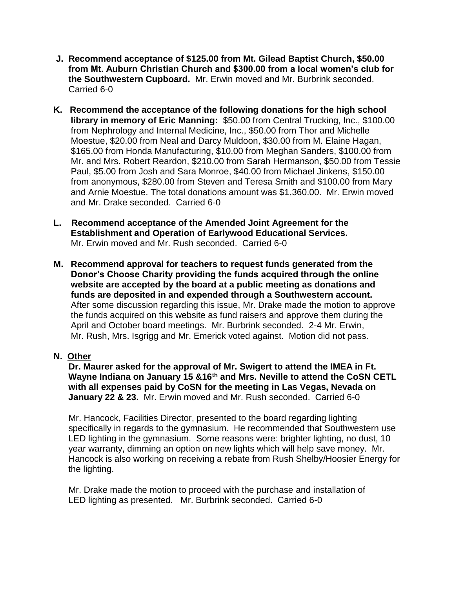- **J. Recommend acceptance of \$125.00 from Mt. Gilead Baptist Church, \$50.00 from Mt. Auburn Christian Church and \$300.00 from a local women's club for the Southwestern Cupboard.** Mr. Erwin moved and Mr. Burbrink seconded. Carried 6-0
- **K. Recommend the acceptance of the following donations for the high school library in memory of Eric Manning:** \$50.00 from Central Trucking, Inc., \$100.00 from Nephrology and Internal Medicine, Inc., \$50.00 from Thor and Michelle Moestue, \$20.00 from Neal and Darcy Muldoon, \$30.00 from M. Elaine Hagan, \$165.00 from Honda Manufacturing, \$10.00 from Meghan Sanders, \$100.00 from Mr. and Mrs. Robert Reardon, \$210.00 from Sarah Hermanson, \$50.00 from Tessie Paul, \$5.00 from Josh and Sara Monroe, \$40.00 from Michael Jinkens, \$150.00 from anonymous, \$280.00 from Steven and Teresa Smith and \$100.00 from Mary and Arnie Moestue. The total donations amount was \$1,360.00. Mr. Erwin moved and Mr. Drake seconded. Carried 6-0
- **L. Recommend acceptance of the Amended Joint Agreement for the Establishment and Operation of Earlywood Educational Services.** Mr. Erwin moved and Mr. Rush seconded. Carried 6-0
- **M. Recommend approval for teachers to request funds generated from the Donor's Choose Charity providing the funds acquired through the online website are accepted by the board at a public meeting as donations and funds are deposited in and expended through a Southwestern account.** After some discussion regarding this issue, Mr. Drake made the motion to approve the funds acquired on this website as fund raisers and approve them during the April and October board meetings. Mr. Burbrink seconded. 2-4 Mr. Erwin, Mr. Rush, Mrs. Isgrigg and Mr. Emerick voted against. Motion did not pass.
- **N. Other**

 **Dr. Maurer asked for the approval of Mr. Swigert to attend the IMEA in Ft. Wayne Indiana on January 15 &16th and Mrs. Neville to attend the CoSN CETL with all expenses paid by CoSN for the meeting in Las Vegas, Nevada on January 22 & 23.** Mr. Erwin moved and Mr. Rush seconded. Carried 6-0

 Mr. Hancock, Facilities Director, presented to the board regarding lighting specifically in regards to the gymnasium. He recommended that Southwestern use LED lighting in the gymnasium. Some reasons were: brighter lighting, no dust, 10 year warranty, dimming an option on new lights which will help save money. Mr. Hancock is also working on receiving a rebate from Rush Shelby/Hoosier Energy for the lighting.

 Mr. Drake made the motion to proceed with the purchase and installation of LED lighting as presented.Mr. Burbrink seconded. Carried 6-0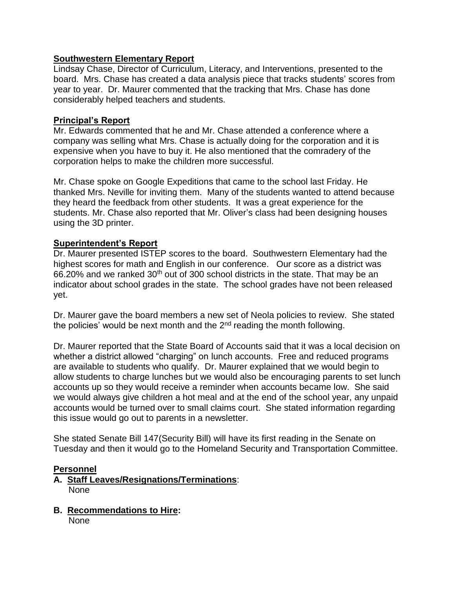## **Southwestern Elementary Report**

Lindsay Chase, Director of Curriculum, Literacy, and Interventions, presented to the board. Mrs. Chase has created a data analysis piece that tracks students' scores from year to year. Dr. Maurer commented that the tracking that Mrs. Chase has done considerably helped teachers and students.

## **Principal's Report**

Mr. Edwards commented that he and Mr. Chase attended a conference where a company was selling what Mrs. Chase is actually doing for the corporation and it is expensive when you have to buy it. He also mentioned that the comradery of the corporation helps to make the children more successful.

Mr. Chase spoke on Google Expeditions that came to the school last Friday. He thanked Mrs. Neville for inviting them. Many of the students wanted to attend because they heard the feedback from other students. It was a great experience for the students. Mr. Chase also reported that Mr. Oliver's class had been designing houses using the 3D printer.

## **Superintendent's Report**

Dr. Maurer presented ISTEP scores to the board. Southwestern Elementary had the highest scores for math and English in our conference. Our score as a district was 66.20% and we ranked 30<sup>th</sup> out of 300 school districts in the state. That may be an indicator about school grades in the state. The school grades have not been released yet.

Dr. Maurer gave the board members a new set of Neola policies to review. She stated the policies' would be next month and the  $2<sup>nd</sup>$  reading the month following.

Dr. Maurer reported that the State Board of Accounts said that it was a local decision on whether a district allowed "charging" on lunch accounts. Free and reduced programs are available to students who qualify. Dr. Maurer explained that we would begin to allow students to charge lunches but we would also be encouraging parents to set lunch accounts up so they would receive a reminder when accounts became low. She said we would always give children a hot meal and at the end of the school year, any unpaid accounts would be turned over to small claims court. She stated information regarding this issue would go out to parents in a newsletter.

She stated Senate Bill 147(Security Bill) will have its first reading in the Senate on Tuesday and then it would go to the Homeland Security and Transportation Committee.

## **Personnel**

## **A. Staff Leaves/Resignations/Terminations**: None

**B. Recommendations to Hire:**

None